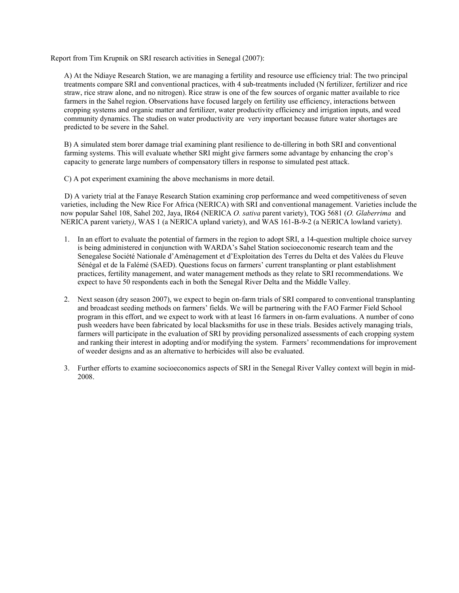Report from Tim Krupnik on SRI research activities in Senegal (2007):

A) At the Ndiaye Research Station, we are managing a fertility and resource use efficiency trial: The two principal treatments compare SRI and conventional practices, with 4 sub-treatments included (N fertilizer, fertilizer and rice straw, rice straw alone, and no nitrogen). Rice straw is one of the few sources of organic matter available to rice farmers in the Sahel region. Observations have focused largely on fertility use efficiency, interactions between cropping systems and organic matter and fertilizer, water productivity efficiency and irrigation inputs, and weed community dynamics. The studies on water productivity are very important because future water shortages are predicted to be severe in the Sahel.

B) A simulated stem borer damage trial examining plant resilience to de-tillering in both SRI and conventional farming systems. This will evaluate whether SRI might give farmers some advantage by enhancing the crop's capacity to generate large numbers of compensatory tillers in response to simulated pest attack.

C) A pot experiment examining the above mechanisms in more detail.

 D) A variety trial at the Fanaye Research Station examining crop performance and weed competitiveness of seven varieties, including the New Rice For Africa (NERICA) with SRI and conventional management. Varieties include the now popular Sahel 108, Sahel 202, Jaya, IR64 (NERICA *O. sativa* parent variety), TOG 5681 (*O. Glaberrima* and NERICA parent variety*)*, WAS 1 (a NERICA upland variety), and WAS 161-B-9-2 (a NERICA lowland variety).

- 1. In an effort to evaluate the potential of farmers in the region to adopt SRI, a 14-question multiple choice survey is being administered in conjunction with WARDA's Sahel Station socioeconomic research team and the Senegalese Société Nationale d'Aménagement et d'Exploitation des Terres du Delta et des Valées du Fleuve Sénégal et de la Falémé (SAED). Questions focus on farmers' current transplanting or plant establishment practices, fertility management, and water management methods as they relate to SRI recommendations. We expect to have 50 respondents each in both the Senegal River Delta and the Middle Valley.
- 2. Next season (dry season 2007), we expect to begin on-farm trials of SRI compared to conventional transplanting and broadcast seeding methods on farmers' fields. We will be partnering with the FAO Farmer Field School program in this effort, and we expect to work with at least 16 farmers in on-farm evaluations. A number of cono push weeders have been fabricated by local blacksmiths for use in these trials. Besides actively managing trials, farmers will participate in the evaluation of SRI by providing personalized assessments of each cropping system and ranking their interest in adopting and/or modifying the system. Farmers' recommendations for improvement of weeder designs and as an alternative to herbicides will also be evaluated.
- 3. Further efforts to examine socioeconomics aspects of SRI in the Senegal River Valley context will begin in mid-2008.